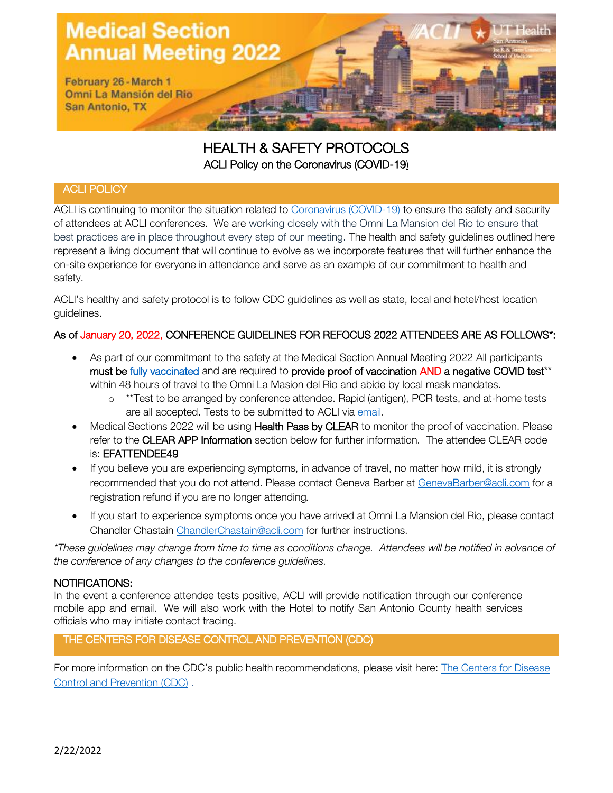

# HEALTH & SAFETY PROTOCOLS ACLI Policy on the Coronavirus (COVID-19)

# ACLI POLICY

ACLI is continuing to monitor the situation related to [Coronavirus \(COVID-19\)](https://www.who.int/emergencies/diseases/novel-coronavirus-2019/events-as-they-happen) to ensure the safety and security of attendees at ACLI conferences. We are working closely with the Omni La Mansion del Rio to ensure that best practices are in place throughout every step of our meeting. The health and safety guidelines outlined here represent a living document that will continue to evolve as we incorporate features that will further enhance the on-site experience for everyone in attendance and serve as an example of our commitment to health and safety.

ACLI's healthy and safety protocol is to follow CDC guidelines as well as state, local and hotel/host location guidelines.

# As of January 20, 2022, CONFERENCE GUIDELINES FOR REFOCUS 2022 ATTENDEES ARE AS FOLLOWS\*:

- As part of our commitment to the safety at the Medical Section Annual Meeting 2022 All participants must be [fully vaccinated](https://www.cdc.gov/coronavirus/2019-ncov/vaccines/stay-up-to-date.html?CDC_AA_refVal=https%3A%2F%2Fwww.cdc.gov%2Fcoronavirus%2F2019-ncov%2Fvaccines%2Ffully-vaccinated.html) and are required to provide proof of vaccination AND a negative COVID test<sup>\*\*</sup> within 48 hours of travel to the Omni La Masion del Rio and abide by local mask mandates.
	- o \*\*Test to be arranged by conference attendee. Rapid (antigen), PCR tests, and at-home tests are all accepted. Tests to be submitted to ACLI via [email.](mailto:aclimedicalsectionannualmeeting@acli.com)
- Medical Sections 2022 will be using **Health Pass by CLEAR** to monitor the proof of vaccination. Please refer to the CLEAR APP Information section below for further information. The attendee CLEAR code is: EFATTENDEE49
- If you believe you are experiencing symptoms, in advance of travel, no matter how mild, it is strongly recommended that you do not attend. Please contact Geneva Barber at [GenevaBarber@acli.com](mailto:GenevaBarber@acli.com) for a registration refund if you are no longer attending*.*
- If you start to experience symptoms once you have arrived at Omni La Mansion del Rio, please contact Chandler Chastain [ChandlerChastain@acli.com](mailto:ChandlerChastain@acli.com) for further instructions.

*\*These guidelines may change from time to time as conditions change. Attendees will be notified in advance of the conference of any changes to the conference guidelines.*

# NOTIFICATIONS:

In the event a conference attendee tests positive, ACLI will provide notification through our conference mobile app and email. We will also work with the Hotel to notify San Antonio County health services officials who may initiate contact tracing.

# THE CENTERS FOR DISEASE CONTROL AND PREVENTION (CDC)

For more information on the CDC's public health recommendations, please visit here: [The Centers for Disease](https://nam02.safelinks.protection.outlook.com/?url=https%3A%2F%2Fwww.cdc.gov%2Fcoronavirus%2F2019-ncov%2Fvaccines%2Ffully-vaccinated-guidance.html&data=04%7C01%7Celizabethcarden%40acli.com%7C08e8d67663244a5c0b9c08d91aca6787%7Cff36238ffa774641891941d6d36ca6ea%7C0%7C0%7C637570278900779811%7CUnknown%7CTWFpbGZsb3d8eyJWIjoiMC4wLjAwMDAiLCJQIjoiV2luMzIiLCJBTiI6Ik1haWwiLCJXVCI6Mn0%3D%7C1000&sdata=zm2wyNakvvGH188KuWZXCV46A0BzyIlS2%2F6D%2B5uOXSQ%3D&reserved=0)  [Control and Prevention \(CDC\)](https://nam02.safelinks.protection.outlook.com/?url=https%3A%2F%2Fwww.cdc.gov%2Fcoronavirus%2F2019-ncov%2Fvaccines%2Ffully-vaccinated-guidance.html&data=04%7C01%7Celizabethcarden%40acli.com%7C08e8d67663244a5c0b9c08d91aca6787%7Cff36238ffa774641891941d6d36ca6ea%7C0%7C0%7C637570278900779811%7CUnknown%7CTWFpbGZsb3d8eyJWIjoiMC4wLjAwMDAiLCJQIjoiV2luMzIiLCJBTiI6Ik1haWwiLCJXVCI6Mn0%3D%7C1000&sdata=zm2wyNakvvGH188KuWZXCV46A0BzyIlS2%2F6D%2B5uOXSQ%3D&reserved=0) .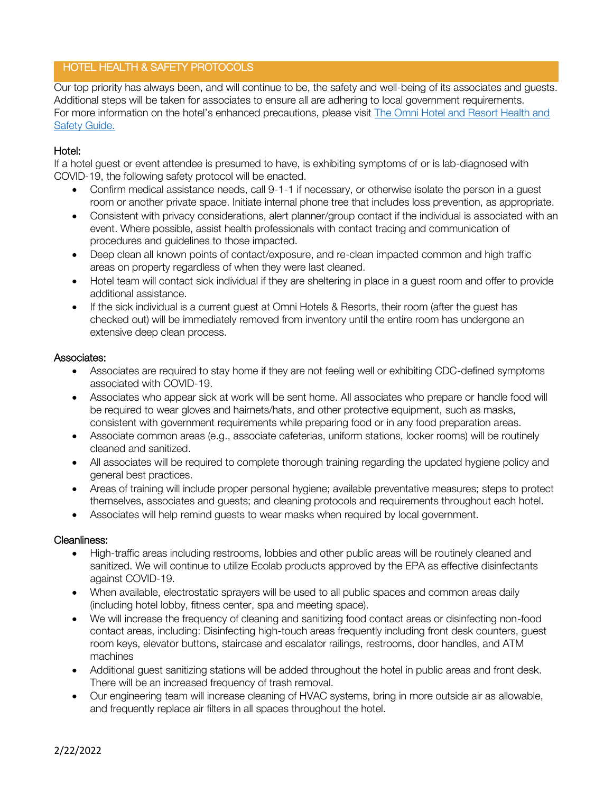# HOTEL HEALTH & SAFETY PROTOCOLS

Our top priority has always been, and will continue to be, the safety and well-being of its associates and guests. Additional steps will be taken for associates to ensure all are adhering to local government requirements. For more information on the hotel's enhanced precautions, please visit [The Omni Hotel and Resort Health and](https://www.omnihotels.com/-/media/files/omni-safe-and-clean-standards.pdf?la=en)  [Safety Guide.](https://www.omnihotels.com/-/media/files/omni-safe-and-clean-standards.pdf?la=en)

# Hotel:

If a hotel guest or event attendee is presumed to have, is exhibiting symptoms of or is lab-diagnosed with COVID-19, the following safety protocol will be enacted.

- Confirm medical assistance needs, call 9-1-1 if necessary, or otherwise isolate the person in a quest room or another private space. Initiate internal phone tree that includes loss prevention, as appropriate.
- Consistent with privacy considerations, alert planner/group contact if the individual is associated with an event. Where possible, assist health professionals with contact tracing and communication of procedures and guidelines to those impacted.
- Deep clean all known points of contact/exposure, and re-clean impacted common and high traffic areas on property regardless of when they were last cleaned.
- Hotel team will contact sick individual if they are sheltering in place in a guest room and offer to provide additional assistance.
- If the sick individual is a current guest at Omni Hotels & Resorts, their room (after the guest has checked out) will be immediately removed from inventory until the entire room has undergone an extensive deep clean process.

#### Associates:

- Associates are required to stay home if they are not feeling well or exhibiting CDC-defined symptoms associated with COVID-19.
- Associates who appear sick at work will be sent home. All associates who prepare or handle food will be required to wear gloves and hairnets/hats, and other protective equipment, such as masks, consistent with government requirements while preparing food or in any food preparation areas.
- Associate common areas (e.g., associate cafeterias, uniform stations, locker rooms) will be routinely cleaned and sanitized.
- All associates will be required to complete thorough training regarding the updated hygiene policy and general best practices.
- Areas of training will include proper personal hygiene; available preventative measures; steps to protect themselves, associates and guests; and cleaning protocols and requirements throughout each hotel.
- Associates will help remind guests to wear masks when required by local government.

#### Cleanliness:

- High-traffic areas including restrooms, lobbies and other public areas will be routinely cleaned and sanitized. We will continue to utilize Ecolab products approved by the EPA as effective disinfectants against COVID-19.
- When available, electrostatic sprayers will be used to all public spaces and common areas daily (including hotel lobby, fitness center, spa and meeting space).
- We will increase the frequency of cleaning and sanitizing food contact areas or disinfecting non-food contact areas, including: Disinfecting high-touch areas frequently including front desk counters, guest room keys, elevator buttons, staircase and escalator railings, restrooms, door handles, and ATM machines
- Additional guest sanitizing stations will be added throughout the hotel in public areas and front desk. There will be an increased frequency of trash removal.
- Our engineering team will increase cleaning of HVAC systems, bring in more outside air as allowable, and frequently replace air filters in all spaces throughout the hotel.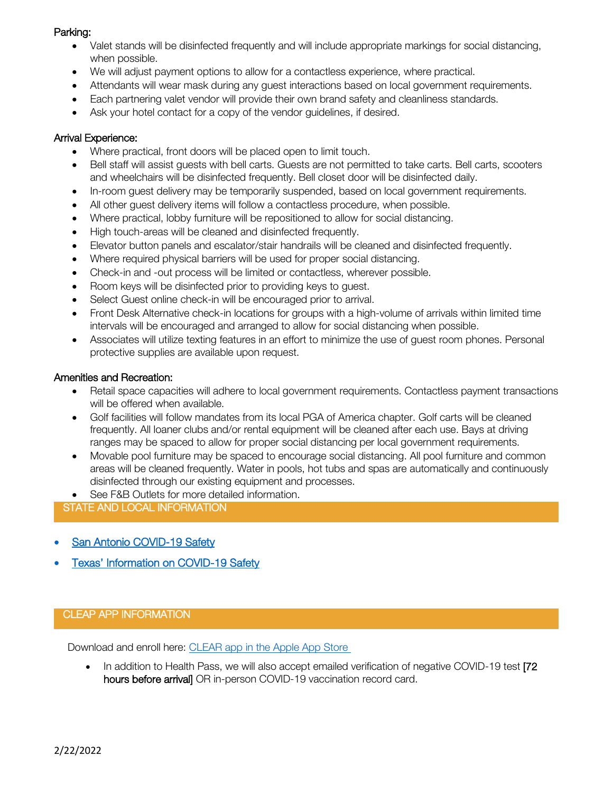#### Parking:

- Valet stands will be disinfected frequently and will include appropriate markings for social distancing, when possible.
- We will adjust payment options to allow for a contactless experience, where practical.
- Attendants will wear mask during any guest interactions based on local government requirements.
- Each partnering valet vendor will provide their own brand safety and cleanliness standards.
- Ask your hotel contact for a copy of the vendor guidelines, if desired.

#### Arrival Experience:

- Where practical, front doors will be placed open to limit touch.
- Bell staff will assist guests with bell carts. Guests are not permitted to take carts. Bell carts, scooters and wheelchairs will be disinfected frequently. Bell closet door will be disinfected daily.
- In-room guest delivery may be temporarily suspended, based on local government requirements.
- All other guest delivery items will follow a contactless procedure, when possible.
- Where practical, lobby furniture will be repositioned to allow for social distancing.
- High touch-areas will be cleaned and disinfected frequently.
- Elevator button panels and escalator/stair handrails will be cleaned and disinfected frequently.
- Where required physical barriers will be used for proper social distancing.
- Check-in and -out process will be limited or contactless, wherever possible.
- Room keys will be disinfected prior to providing keys to guest.
- Select Guest online check-in will be encouraged prior to arrival.
- Front Desk Alternative check-in locations for groups with a high-volume of arrivals within limited time intervals will be encouraged and arranged to allow for social distancing when possible.
- Associates will utilize texting features in an effort to minimize the use of quest room phones. Personal protective supplies are available upon request.

#### Amenities and Recreation:

- Retail space capacities will adhere to local government requirements. Contactless payment transactions will be offered when available.
- Golf facilities will follow mandates from its local PGA of America chapter. Golf carts will be cleaned frequently. All loaner clubs and/or rental equipment will be cleaned after each use. Bays at driving ranges may be spaced to allow for proper social distancing per local government requirements.
- Movable pool furniture may be spaced to encourage social distancing. All pool furniture and common areas will be cleaned frequently. Water in pools, hot tubs and spas are automatically and continuously disinfected through our existing equipment and processes.
- See F&B Outlets for more detailed information.

# STATE AND LOCAL INFORMATION

- San Antonio COVID-19 Safety
- Texas' [Information on COVID-19 Safety](https://dshs.texas.gov/coronavirus/)

#### CLEAP APP INFORMATION

Download and enroll here: [CLEAR app in the Apple App Store](https://nam02.safelinks.protection.outlook.com/?url=https%3A%2F%2Fapps.apple.com%2Fus%2Fapp%2Fclear-fast-touchless-access%2Fid1436333504&data=04%7C01%7Cmackenziecurtin%40acli.com%7C109cc0be4b1b4d0d290208d97887ada9%7Cff36238ffa774641891941d6d36ca6ea%7C0%7C0%7C637673346405911518%7CUnknown%7CTWFpbGZsb3d8eyJWIjoiMC4wLjAwMDAiLCJQIjoiV2luMzIiLCJBTiI6Ik1haWwiLCJXVCI6Mn0%3D%7C1000&sdata=LTA5cBqzFXmujbdJmTAhWn5u5igAwSBsL8o3BigqPuc%3D&reserved=0)

• In addition to Health Pass, we will also accept emailed verification of negative COVID-19 test [72] hours before arrival OR in-person COVID-19 vaccination record card.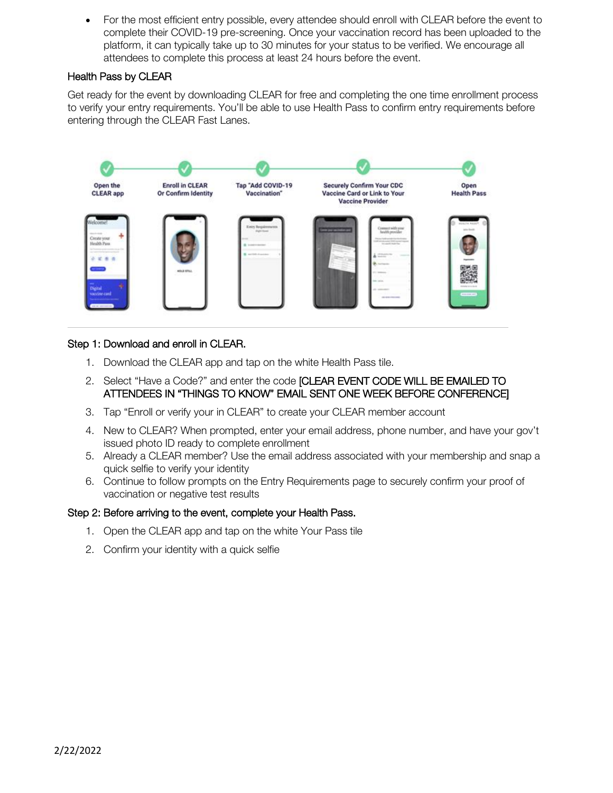• For the most efficient entry possible, every attendee should enroll with CLEAR before the event to complete their COVID-19 pre-screening. Once your vaccination record has been uploaded to the platform, it can typically take up to 30 minutes for your status to be verified. We encourage all attendees to complete this process at least 24 hours before the event.

# Health Pass by CLEAR

Get ready for the event by downloading CLEAR for free and completing the one time enrollment process to verify your entry requirements. You'll be able to use Health Pass to confirm entry requirements before entering through the CLEAR Fast Lanes.



#### Step 1: Download and enroll in CLEAR.

- 1. Download the CLEAR app and tap on the white Health Pass tile.
- 2. Select "Have a Code?" and enter the code [CLEAR EVENT CODE WILL BE EMAILED TO ATTENDEES IN "THINGS TO KNOW" EMAIL SENT ONE WEEK BEFORE CONFERENCE]
- 3. Tap "Enroll or verify your in CLEAR" to create your CLEAR member account
- 4. New to CLEAR? When prompted, enter your email address, phone number, and have your gov't issued photo ID ready to complete enrollment
- 5. Already a CLEAR member? Use the email address associated with your membership and snap a quick selfie to verify your identity
- 6. Continue to follow prompts on the Entry Requirements page to securely confirm your proof of vaccination or negative test results

#### Step 2: Before arriving to the event, complete your Health Pass.

- 1. Open the CLEAR app and tap on the white Your Pass tile
- 2. Confirm your identity with a quick selfie